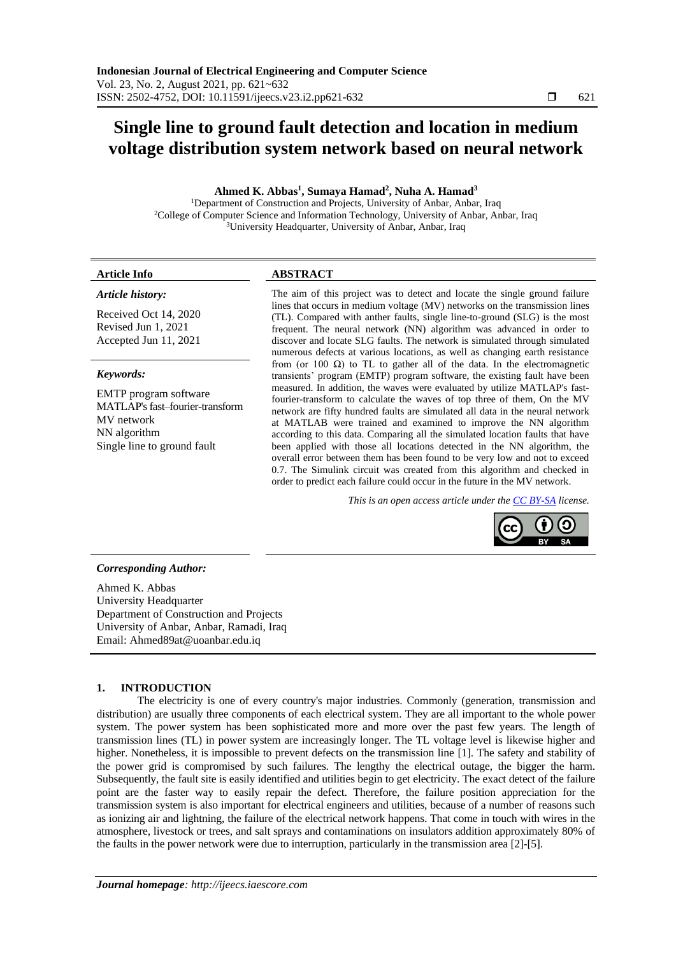# **Single line to ground fault detection and location in medium voltage distribution system network based on neural network**

# **Ahmed K. Abbas<sup>1</sup> , Sumaya Hamad<sup>2</sup> , Nuha A. Hamad<sup>3</sup>**

<sup>1</sup>Department of Construction and Projects, University of Anbar, Anbar, Iraq <sup>2</sup>College of Computer Science and Information Technology, University of Anbar, Anbar, Iraq <sup>3</sup>University Headquarter, University of Anbar, Anbar, Iraq

## *Article history:*

Received Oct 14, 2020 Revised Jun 1, 2021 Accepted Jun 11, 2021

# *Keywords:*

EMTP program software MATLAP's fast–fourier-transform MV network NN algorithm Single line to ground fault

# **Article Info ABSTRACT**

The aim of this project was to detect and locate the single ground failure lines that occurs in medium voltage (MV) networks on the transmission lines (TL). Compared with anther faults, single line-to-ground (SLG) is the most frequent. The neural network (NN) algorithm was advanced in order to discover and locate SLG faults. The network is simulated through simulated numerous defects at various locations, as well as changing earth resistance from (or 100  $\Omega$ ) to TL to gather all of the data. In the electromagnetic transients' program (EMTP) program software, the existing fault have been measured. In addition, the waves were evaluated by utilize MATLAP's fastfourier-transform to calculate the waves of top three of them, On the MV network are fifty hundred faults are simulated all data in the neural network at MATLAB were trained and examined to improve the NN algorithm according to this data. Comparing all the simulated location faults that have been applied with those all locations detected in the NN algorithm, the overall error between them has been found to be very low and not to exceed 0.7. The Simulink circuit was created from this algorithm and checked in order to predict each failure could occur in the future in the MV network.

*This is an open access article under the [CC BY-SA](https://creativecommons.org/licenses/by-sa/4.0/) license.*



# *Corresponding Author:*

Ahmed K. Abbas University Headquarter Department of Construction and Projects University of Anbar, Anbar, Ramadi, Iraq Email: [Ahmed89at@uoanbar.edu.iq](mailto:Ahmed89at@uoanbar.edu.iq)

# **1. INTRODUCTION**

The electricity is one of every country's major industries. Commonly (generation, transmission and distribution) are usually three components of each electrical system. They are all important to the whole power system. The power system has been sophisticated more and more over the past few years. The length of transmission lines (TL) in power system are increasingly longer. The TL voltage level is likewise higher and higher. Nonetheless, it is impossible to prevent defects on the transmission line [1]. The safety and stability of the power grid is compromised by such failures. The lengthy the electrical outage, the bigger the harm. Subsequently, the fault site is easily identified and utilities begin to get electricity. The exact detect of the failure point are the faster way to easily repair the defect. Therefore, the failure position appreciation for the transmission system is also important for electrical engineers and utilities, because of a number of reasons such as ionizing air and lightning, the failure of the electrical network happens. That come in touch with wires in the atmosphere, livestock or trees, and salt sprays and contaminations on insulators addition approximately 80% of the faults in the power network were due to interruption, particularly in the transmission area [2]-[5].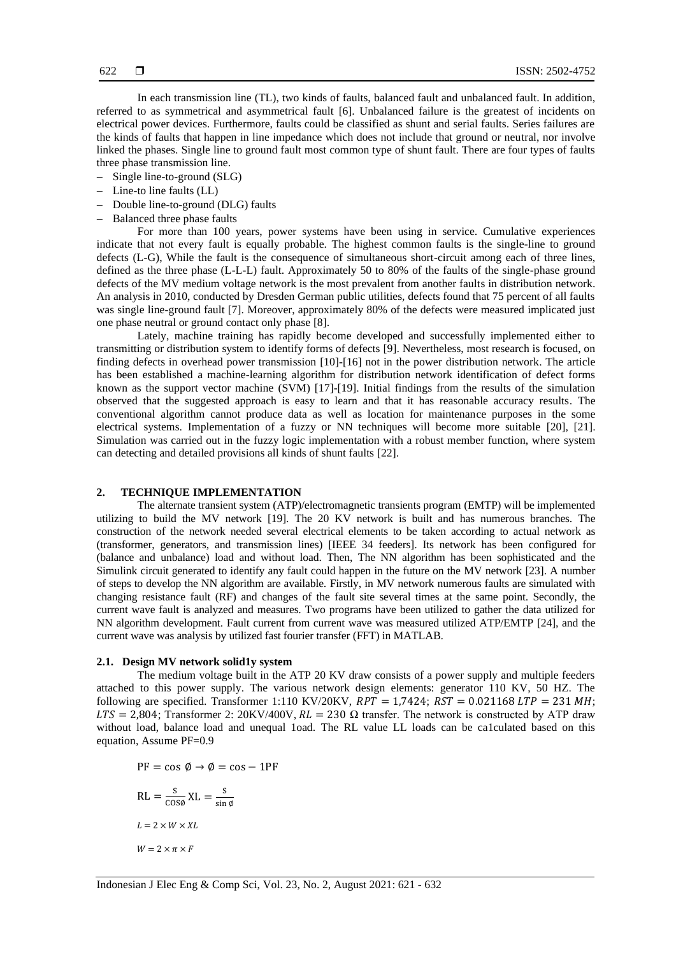In each transmission line (TL), two kinds of faults, balanced fault and unbalanced fault. In addition, referred to as symmetrical and asymmetrical fault [6]. Unbalanced failure is the greatest of incidents on electrical power devices. Furthermore, faults could be classified as shunt and serial faults. Series failures are the kinds of faults that happen in line impedance which does not include that ground or neutral, nor involve linked the phases. Single line to ground fault most common type of shunt fault. There are four types of faults three phase transmission line.

- − Single line-to-ground (SLG)
- − Line-to line faults (LL)
- − Double line-to-ground (DLG) faults
- − Balanced three phase faults

For more than 100 years, power systems have been using in service. Cumulative experiences indicate that not every fault is equally probable. The highest common faults is the single-line to ground defects (L-G), While the fault is the consequence of simultaneous short-circuit among each of three lines, defined as the three phase (L-L-L) fault. Approximately 50 to 80% of the faults of the single-phase ground defects of the MV medium voltage network is the most prevalent from another faults in distribution network. An analysis in 2010, conducted by Dresden German public utilities, defects found that 75 percent of all faults was single line-ground fault [7]. Moreover, approximately 80% of the defects were measured implicated just one phase neutral or ground contact only phase [8].

Lately, machine training has rapidly become developed and successfully implemented either to transmitting or distribution system to identify forms of defects [9]. Nevertheless, most research is focused, on finding defects in overhead power transmission [10]-[16] not in the power distribution network. The article has been established a machine-learning algorithm for distribution network identification of defect forms known as the support vector machine (SVM) [17]-[19]. Initial findings from the results of the simulation observed that the suggested approach is easy to learn and that it has reasonable accuracy results. The conventional algorithm cannot produce data as well as location for maintenance purposes in the some electrical systems. Implementation of a fuzzy or NN techniques will become more suitable [20], [21]. Simulation was carried out in the fuzzy logic implementation with a robust member function, where system can detecting and detailed provisions all kinds of shunt faults [22].

# **2. TECHNIQUE IMPLEMENTATION**

The alternate transient system (ATP)/electromagnetic transients program (EMTP) will be implemented utilizing to build the MV network [19]. The 20 KV network is built and has numerous branches. The construction of the network needed several electrical elements to be taken according to actual network as (transformer, generators, and transmission lines) [IEEE 34 feeders]. Its network has been configured for (balance and unbalance) load and without load. Then, The NN algorithm has been sophisticated and the Simulink circuit generated to identify any fault could happen in the future on the MV network [23]. A number of steps to develop the NN algorithm are available. Firstly, in MV network numerous faults are simulated with changing resistance fault (RF) and changes of the fault site several times at the same point. Secondly, the current wave fault is analyzed and measures. Two programs have been utilized to gather the data utilized for NN algorithm development. Fault current from current wave was measured utilized ATP/EMTP [24], and the current wave was analysis by utilized fast fourier transfer (FFT) in MATLAB.

# **2.1. Design MV network solid1y system**

The medium voltage built in the ATP 20 KV draw consists of a power supply and multiple feeders attached to this power supply. The various network design elements: generator 110 KV, 50 HZ. The following are specified. Transformer 1:110 KV/20KV,  $RPT = 1,7424$ ;  $RST = 0.021168$  LTP = 231 MH;  $LTS = 2,804$ ; Transformer 2: 20KV/400V,  $RL = 230 \Omega$  transfer. The network is constructed by ATP draw without load, balance load and unequal 1oad. The RL value LL loads can be ca1culated based on this equation, Assume PF=0.9

 $PF = \cos \phi \rightarrow \phi = \cos - 1PF$  $RL = \frac{s}{\cos \phi} XL = \frac{s}{\sin \phi}$ sin ∅  $L = 2 \times W \times XL$  $W = 2 \times \pi \times F$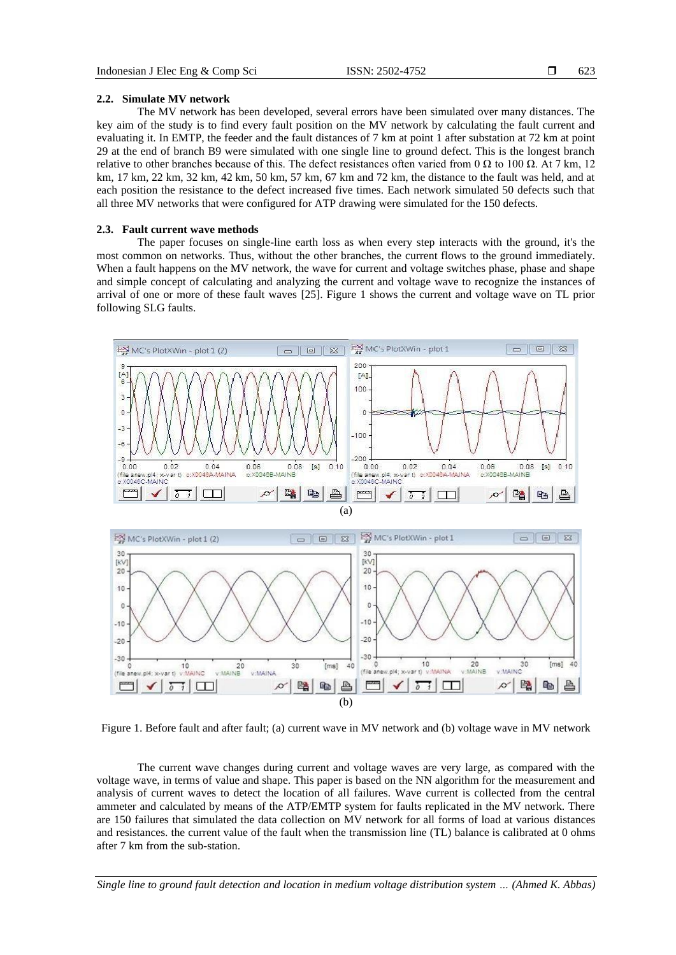#### **2.2. Simulate MV network**

The MV network has been developed, several errors have been simulated over many distances. The key aim of the study is to find every fault position on the MV network by calculating the fault current and evaluating it. In EMTP, the feeder and the fault distances of 7 km at point 1 after substation at 72 km at point 29 at the end of branch B9 were simulated with one single line to ground defect. This is the longest branch relative to other branches because of this. The defect resistances often varied from 0 Ω to 100 Ω. At 7 km, 12 km, 17 km, 22 km, 32 km, 42 km, 50 km, 57 km, 67 km and 72 km, the distance to the fault was held, and at each position the resistance to the defect increased five times. Each network simulated 50 defects such that all three MV networks that were configured for ATP drawing were simulated for the 150 defects.

#### **2.3. Fault current wave methods**

The paper focuses on single-line earth loss as when every step interacts with the ground, it's the most common on networks. Thus, without the other branches, the current flows to the ground immediately. When a fault happens on the MV network, the wave for current and voltage switches phase, phase and shape and simple concept of calculating and analyzing the current and voltage wave to recognize the instances of arrival of one or more of these fault waves [25]. Figure 1 shows the current and voltage wave on TL prior following SLG faults.



Figure 1. Before fault and after fault; (a) current wave in MV network and (b) voltage wave in MV network

The current wave changes during current and voltage waves are very large, as compared with the voltage wave, in terms of value and shape. This paper is based on the NN algorithm for the measurement and analysis of current waves to detect the location of all failures. Wave current is collected from the central ammeter and calculated by means of the ATP/EMTP system for faults replicated in the MV network. There are 150 failures that simulated the data collection on MV network for all forms of load at various distances and resistances. the current value of the fault when the transmission line (TL) balance is calibrated at 0 ohms after 7 km from the sub-station.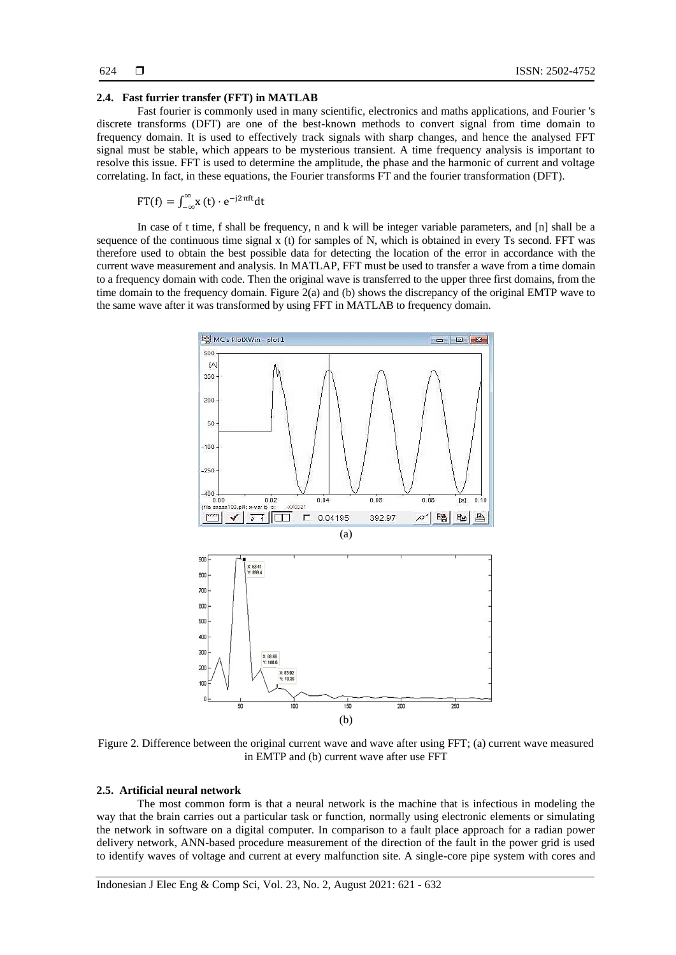#### **2.4. Fast furrier transfer (FFT) in MATLAB**

Fast fourier is commonly used in many scientific, electronics and maths applications, and Fourier 's discrete transforms (DFT) are one of the best-known methods to convert signal from time domain to frequency domain. It is used to effectively track signals with sharp changes, and hence the analysed FFT signal must be stable, which appears to be mysterious transient. A time frequency analysis is important to resolve this issue. FFT is used to determine the amplitude, the phase and the harmonic of current and voltage correlating. In fact, in these equations, the Fourier transforms FT and the fourier transformation (DFT).

$$
FT(f) = \int_{-\infty}^{\infty} x(t) \cdot e^{-j2\pi ft} dt
$$

In case of t time, f shall be frequency, n and k will be integer variable parameters, and [n] shall be a sequence of the continuous time signal x (t) for samples of N, which is obtained in every Ts second. FFT was therefore used to obtain the best possible data for detecting the location of the error in accordance with the current wave measurement and analysis. In MATLAP, FFT must be used to transfer a wave from a time domain to a frequency domain with code. Then the original wave is transferred to the upper three first domains, from the time domain to the frequency domain. Figure 2(a) and (b) shows the discrepancy of the original EMTP wave to the same wave after it was transformed by using FFT in MATLAB to frequency domain.



Figure 2. Difference between the original current wave and wave after using FFT; (a) current wave measured in EMTP and (b) current wave after use FFT

# **2.5. Artificial neural network**

The most common form is that a neural network is the machine that is infectious in modeling the way that the brain carries out a particular task or function, normally using electronic elements or simulating the network in software on a digital computer. In comparison to a fault place approach for a radian power delivery network, ANN-based procedure measurement of the direction of the fault in the power grid is used to identify waves of voltage and current at every malfunction site. A single-core pipe system with cores and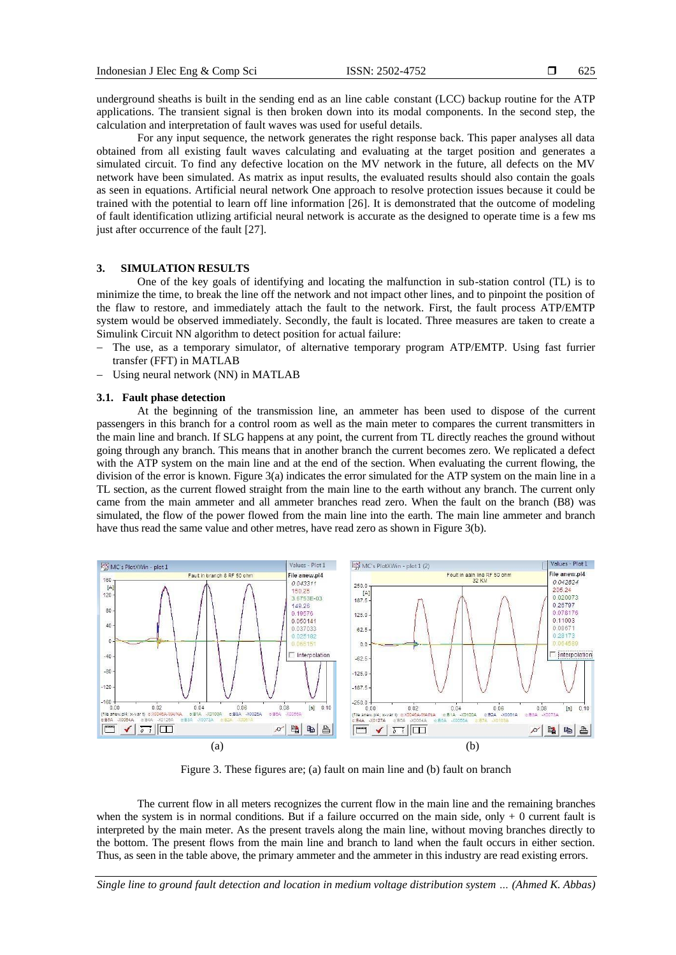underground sheaths is built in the sending end as an line cable constant (LCC) backup routine for the ATP applications. The transient signal is then broken down into its modal components. In the second step, the calculation and interpretation of fault waves was used for useful details.

For any input sequence, the network generates the right response back. This paper analyses all data obtained from all existing fault waves calculating and evaluating at the target position and generates a simulated circuit. To find any defective location on the MV network in the future, all defects on the MV network have been simulated. As matrix as input results, the evaluated results should also contain the goals as seen in equations. Artificial neural network One approach to resolve protection issues because it could be trained with the potential to learn off line information [26]. It is demonstrated that the outcome of modeling of fault identification utlizing artificial neural network is accurate as the designed to operate time is a few ms just after occurrence of the fault [27].

# **3. SIMULATION RESULTS**

One of the key goals of identifying and locating the malfunction in sub-station control (TL) is to minimize the time, to break the line off the network and not impact other lines, and to pinpoint the position of the flaw to restore, and immediately attach the fault to the network. First, the fault process ATP/EMTP system would be observed immediately. Secondly, the fault is located. Three measures are taken to create a Simulink Circuit NN algorithm to detect position for actual failure:

- The use, as a temporary simulator, of alternative temporary program ATP/EMTP. Using fast furrier transfer (FFT) in MATLAB
- − Using neural network (NN) in MATLAB

## **3.1. Fault phase detection**

At the beginning of the transmission line, an ammeter has been used to dispose of the current passengers in this branch for a control room as well as the main meter to compares the current transmitters in the main line and branch. If SLG happens at any point, the current from TL directly reaches the ground without going through any branch. This means that in another branch the current becomes zero. We replicated a defect with the ATP system on the main line and at the end of the section. When evaluating the current flowing, the division of the error is known. Figure 3(a) indicates the error simulated for the ATP system on the main line in a TL section, as the current flowed straight from the main line to the earth without any branch. The current only came from the main ammeter and all ammeter branches read zero. When the fault on the branch (B8) was simulated, the flow of the power flowed from the main line into the earth. The main line ammeter and branch have thus read the same value and other metres, have read zero as shown in Figure 3(b).



Figure 3. These figures are; (a) fault on main line and (b) fault on branch

The current flow in all meters recognizes the current flow in the main line and the remaining branches when the system is in normal conditions. But if a failure occurred on the main side, only  $+0$  current fault is interpreted by the main meter. As the present travels along the main line, without moving branches directly to the bottom. The present flows from the main line and branch to land when the fault occurs in either section. Thus, as seen in the table above, the primary ammeter and the ammeter in this industry are read existing errors.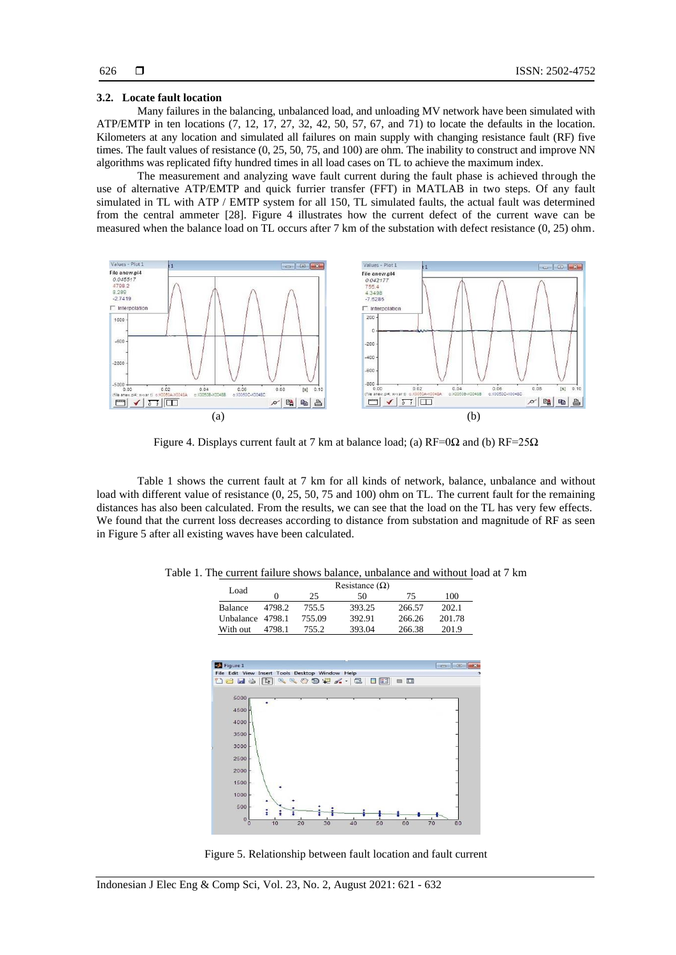# 626

#### **3.2. Locate fault location**

Many failures in the balancing, unbalanced load, and unloading MV network have been simulated with ATP/EMTP in ten locations (7, 12, 17, 27, 32, 42, 50, 57, 67, and 71) to locate the defaults in the location. Kilometers at any location and simulated all failures on main supply with changing resistance fault (RF) five times. The fault values of resistance  $(0, 25, 50, 75,$  and 100) are ohm. The inability to construct and improve NN algorithms was replicated fifty hundred times in all load cases on TL to achieve the maximum index.

The measurement and analyzing wave fault current during the fault phase is achieved through the use of alternative ATP/EMTP and quick furrier transfer (FFT) in MATLAB in two steps. Of any fault simulated in TL with ATP / EMTP system for all 150, TL simulated faults, the actual fault was determined from the central ammeter [28]. Figure 4 illustrates how the current defect of the current wave can be measured when the balance load on TL occurs after 7 km of the substation with defect resistance (0, 25) ohm.



Figure 4. Displays current fault at 7 km at balance load; (a)  $RF=0\Omega$  and (b)  $RF=25\Omega$ 

Table 1 shows the current fault at 7 km for all kinds of network, balance, unbalance and without load with different value of resistance (0, 25, 50, 75 and 100) ohm on TL. The current fault for the remaining distances has also been calculated. From the results, we can see that the load on the TL has very few effects. We found that the current loss decreases according to distance from substation and magnitude of RF as seen in Figure 5 after all existing waves have been calculated.

| Table 1. The current failure shows balance, unbalance and without load at 7 km |
|--------------------------------------------------------------------------------|
|--------------------------------------------------------------------------------|

|                  |        |        | Resistance $(\Omega)$ |        |        |
|------------------|--------|--------|-----------------------|--------|--------|
| Load             |        | 25     | 50                    | 75     | 100    |
| Balance          | 4798.2 | 755.5  | 393.25                | 266.57 | 202.1  |
| Unbalance 4798.1 |        | 755.09 | 392.91                | 266.26 | 201.78 |
| With out         | 4798.1 | 755.2  | 393.04                | 266.38 | 201.9  |



Figure 5. Relationship between fault location and fault current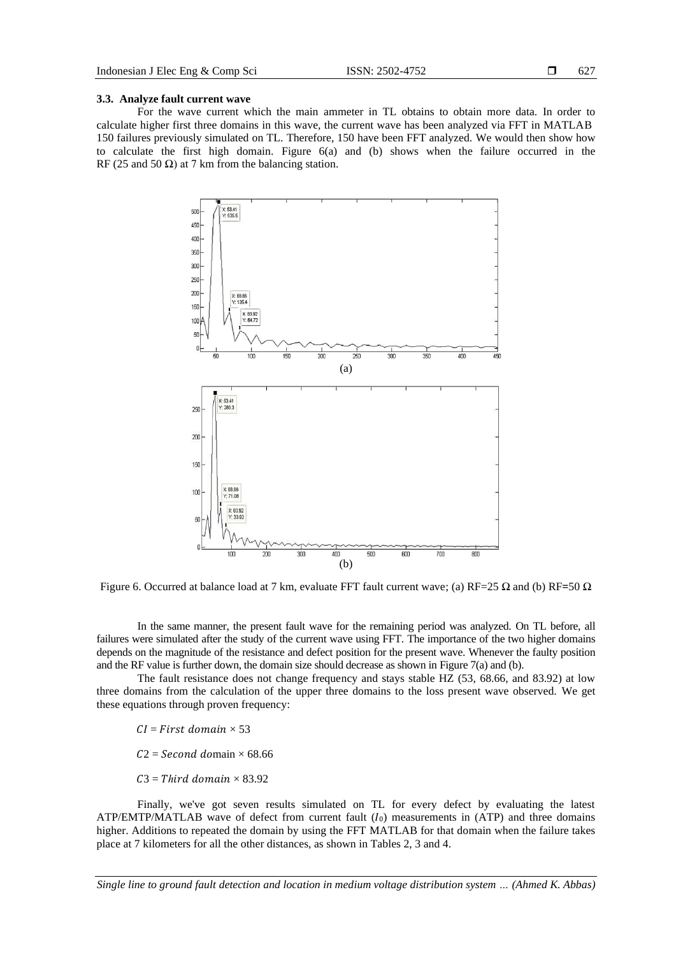#### **3.3. Analyze fault current wave**

For the wave current which the main ammeter in TL obtains to obtain more data. In order to calculate higher first three domains in this wave, the current wave has been analyzed via FFT in MATLAB 150 failures previously simulated on TL. Therefore, 150 have been FFT analyzed. We would then show how to calculate the first high domain. Figure 6(a) and (b) shows when the failure occurred in the RF (25 and 50  $\Omega$ ) at 7 km from the balancing station.



Figure 6. Occurred at balance load at 7 km, evaluate FFT fault current wave; (a) RF=25 Ω and (b) RF**=**50 Ω

In the same manner, the present fault wave for the remaining period was analyzed. On TL before, all failures were simulated after the study of the current wave using FFT. The importance of the two higher domains depends on the magnitude of the resistance and defect position for the present wave. Whenever the faulty position and the RF value is further down, the domain size should decrease as shown in Figure 7(a) and (b).

The fault resistance does not change frequency and stays stable HZ (53, 68.66, and 83.92) at low three domains from the calculation of the upper three domains to the loss present wave observed. We get these equations through proven frequency:

 $CI = First domain \times 53$ 

 $C2 = Second$  domain  $\times$  68.66

 $C3 = Third domain \times 83.92$ 

Finally, we've got seven results simulated on TL for every defect by evaluating the latest  $ATP/EMTP/MATLAB$  wave of defect from current fault  $(I_0)$  measurements in  $(ATP)$  and three domains higher. Additions to repeated the domain by using the FFT MATLAB for that domain when the failure takes place at 7 kilometers for all the other distances, as shown in Tables 2, 3 and 4.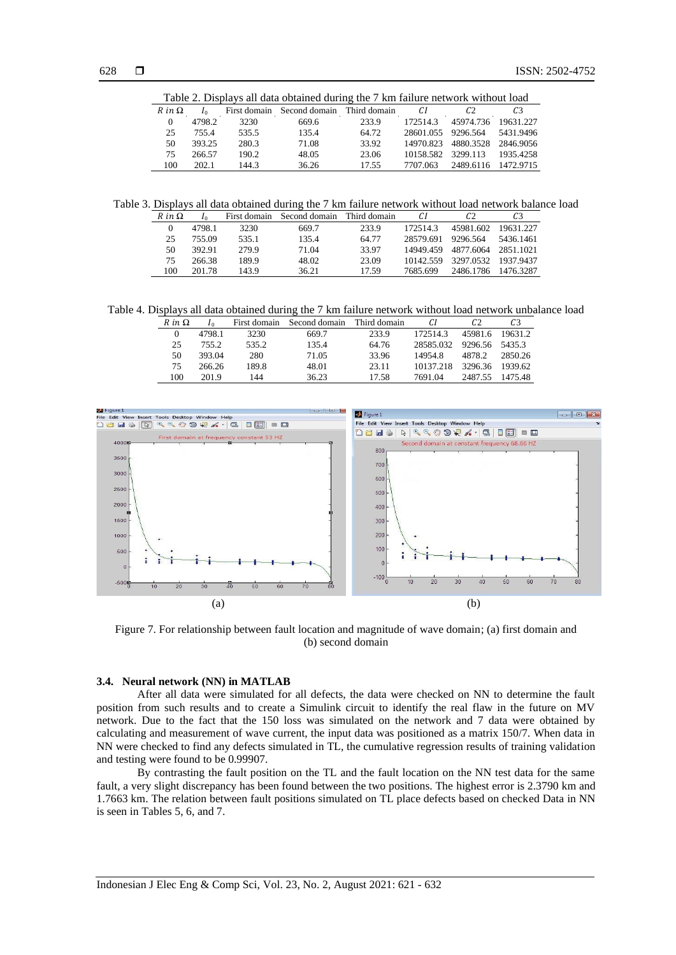| Table 2. Displays all data obtained during the 7 km failure network without load |              |              |                            |       |           |                |                |  |
|----------------------------------------------------------------------------------|--------------|--------------|----------------------------|-------|-----------|----------------|----------------|--|
| $R$ in $\Omega$                                                                  | $\mathbf{I}$ | First domain | Second domain Third domain |       | СI        | C <sub>2</sub> | C <sub>3</sub> |  |
| $\Omega$                                                                         | 4798.2       | 3230         | 669.6                      | 233.9 | 172514.3  | 45974.736      | 19631.227      |  |
| 25                                                                               | 7554         | 535.5        | 135.4                      | 64.72 | 28601.055 | 9296.564       | 5431.9496      |  |
| 50                                                                               | 393.25       | 280.3        | 71.08                      | 33.92 | 14970.823 | 4880.3528      | 2846.9056      |  |
| 75                                                                               | 266.57       | 190.2        | 48.05                      | 23.06 | 10158.582 | 3299.113       | 1935 4258      |  |
| 100                                                                              | 202.1        | 144.3        | 36.26                      | 17.55 | 7707 063  | 2489.6116      | 1472.9715      |  |

Table 3. Displays all data obtained during the 7 km failure network without load network balance load

| $R$ in $\Omega$ |        |       | First domain Second domain | Third domain | C1        | C <sub>2</sub> |           |
|-----------------|--------|-------|----------------------------|--------------|-----------|----------------|-----------|
| $\Omega$        | 4798.1 | 3230  | 669.7                      | 233.9        | 1725143   | 45981.602      | 19631.227 |
| 25              | 755.09 | 535.1 | 135.4                      | 64.77        | 28579.691 | 9296.564       | 5436.1461 |
| 50              | 392.91 | 279.9 | 71.04                      | 33.97        | 14949.459 | 4877.6064      | 2851.1021 |
| 75              | 266.38 | 189.9 | 48.02                      | 23.09        | 10142.559 | 3297.0532      | 1937.9437 |
| 100             | 201.78 | 143.9 | 36.21                      | 17.59        | 7685.699  | 2486.1786      | 1476.3287 |

Table 4. Displays all data obtained during the 7 km failure network without load network unbalance load

| $R$ in $\Omega$ |        | First domain | Second domain | Third domain |           |         |         |
|-----------------|--------|--------------|---------------|--------------|-----------|---------|---------|
|                 | 4798.1 | 3230         | 669.7         | 233.9        | 172514.3  | 45981.6 | 19631.2 |
| 25              | 755.2  | 535.2        | 135.4         | 64.76        | 28585.032 | 9296.56 | 5435.3  |
| 50              | 393.04 | 280          | 71.05         | 33.96        | 14954.8   | 4878.2  | 2850.26 |
| 75              | 266.26 | 189.8        | 48.01         | 23.11        | 10137.218 | 3296.36 | 1939.62 |
| 100             | 201.9  | 144          | 36.23         | 17.58        | 7691.04   | 2487.55 | 1475.48 |



Figure 7. For relationship between fault location and magnitude of wave domain; (a) first domain and (b) second domain

#### **3.4. Neural network (NN) in MATLAB**

After all data were simulated for all defects, the data were checked on NN to determine the fault position from such results and to create a Simulink circuit to identify the real flaw in the future on MV network. Due to the fact that the 150 loss was simulated on the network and 7 data were obtained by calculating and measurement of wave current, the input data was positioned as a matrix 150/7. When data in NN were checked to find any defects simulated in TL, the cumulative regression results of training validation and testing were found to be 0.99907.

By contrasting the fault position on the TL and the fault location on the NN test data for the same fault, a very slight discrepancy has been found between the two positions. The highest error is 2.3790 km and 1.7663 km. The relation between fault positions simulated on TL place defects based on checked Data in NN is seen in Tables 5, 6, and 7.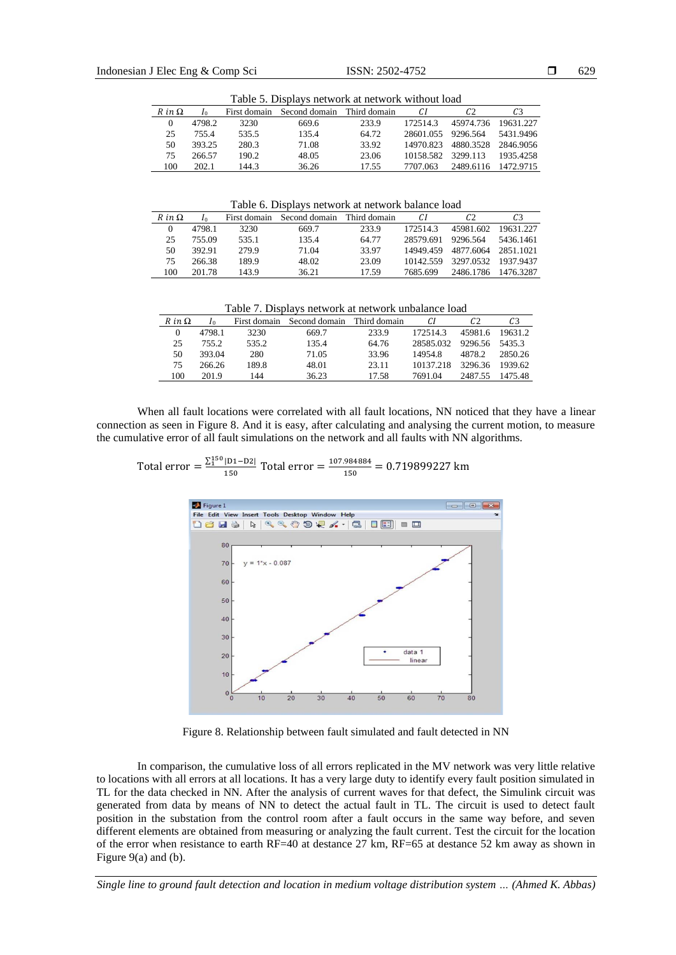| Table 5. Displays network at network without load |        |              |                            |       |                    |                     |           |  |  |
|---------------------------------------------------|--------|--------------|----------------------------|-------|--------------------|---------------------|-----------|--|--|
| $R$ in $\Omega$                                   |        | First domain | Second domain Third domain |       | C1                 | C <sub>2</sub>      | C3        |  |  |
| $\Omega$                                          | 4798.2 | 3230         | 669.6                      | 233.9 | 1725143            | 45974.736 19631.227 |           |  |  |
| 25                                                | 7554   | 535.5        | 135.4                      | 64.72 | 28601.055 9296.564 |                     | 5431.9496 |  |  |
| 50                                                | 393.25 | 280.3        | 71.08                      | 33.92 | 14970.823          | 4880.3528           | 2846.9056 |  |  |
| 75                                                | 266.57 | 190.2        | 48.05                      | 23.06 | 10158.582          | 3299.113            | 1935.4258 |  |  |
| 100                                               | 202.1  | 144.3        | 36.26                      | 17.55 | 7707.063           | 2489.6116           | 1472.9715 |  |  |

Table 6. Displays network at network balance load

| $R$ in $\Omega$ | I٥     | First domain | Second domain | Third domain | СI        | C2        | C <sub>3</sub> |
|-----------------|--------|--------------|---------------|--------------|-----------|-----------|----------------|
|                 | 4798.1 | 3230         | 669.7         | 233.9        | 172514.3  | 45981.602 | 19631.227      |
| 25              | 755.09 | 535.1        | 135.4         | 64.77        | 28579.691 | 9296.564  | 5436.1461      |
| 50              | 392.91 | 279.9        | 71.04         | 33.97        | 14949.459 | 4877.6064 | 2851.1021      |
| 75              | 266.38 | 189.9        | 48.02         | 23.09        | 10142.559 | 3297.0532 | 1937.9437      |
| 100             | 201.78 | 143.9        | 36.21         | 17.59        | 7685.699  | 2486.1786 | 14763287       |

Table 7. Displays network at network unbalance load

| $R$ in $\Omega$ |        | First domain | Second domain | Third domain | СI        |         | C <sub>3</sub> |
|-----------------|--------|--------------|---------------|--------------|-----------|---------|----------------|
|                 | 4798.1 | 3230         | 669.7         | 233.9        | 1725143   | 45981.6 | 19631.2        |
| 25              | 755.2  | 535.2        | 135.4         | 64.76        | 28585.032 | 9296.56 | 5435.3         |
| 50              | 393.04 | 280          | 71.05         | 33.96        | 14954.8   | 4878.2  | 2850.26        |
| 75              | 266.26 | 189.8        | 48.01         | 23.11        | 10137.218 | 3296.36 | 1939.62        |
| 100             | 201.9  | 144          | 36.23         | 17.58        | 7691.04   | 2487.55 | 1475.48        |

When all fault locations were correlated with all fault locations, NN noticed that they have a linear connection as seen in Figure 8. And it is easy, after calculating and analysing the current motion, to measure the cumulative error of all fault simulations on the network and all faults with NN algorithms.

Total error =  $\frac{\sum_{1}^{150} |D1-D2|}{150}$  $\frac{|D1-D2|}{150}$  Total error =  $\frac{107.984884}{150}$  $\frac{150}{150}$  = 0.719899227 km



Figure 8. Relationship between fault simulated and fault detected in NN

In comparison, the cumulative loss of all errors replicated in the MV network was very little relative to locations with all errors at all locations. It has a very large duty to identify every fault position simulated in TL for the data checked in NN. After the analysis of current waves for that defect, the Simulink circuit was generated from data by means of NN to detect the actual fault in TL. The circuit is used to detect fault position in the substation from the control room after a fault occurs in the same way before, and seven different elements are obtained from measuring or analyzing the fault current. Test the circuit for the location of the error when resistance to earth RF=40 at destance 27 km, RF=65 at destance 52 km away as shown in Figure 9(a) and (b).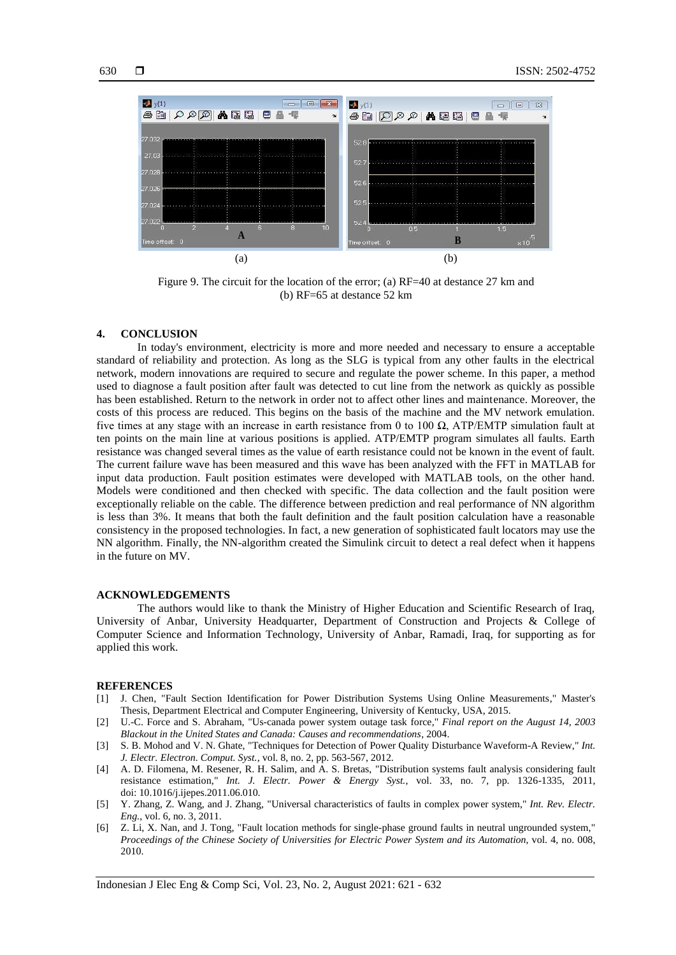

Figure 9. The circuit for the location of the error; (a) RF=40 at destance 27 km and (b) RF=65 at destance 52 km

#### **4. CONCLUSION**

In today's environment, electricity is more and more needed and necessary to ensure a acceptable standard of reliability and protection. As long as the SLG is typical from any other faults in the electrical network, modern innovations are required to secure and regulate the power scheme. In this paper, a method used to diagnose a fault position after fault was detected to cut line from the network as quickly as possible has been established. Return to the network in order not to affect other lines and maintenance. Moreover, the costs of this process are reduced. This begins on the basis of the machine and the MV network emulation. five times at any stage with an increase in earth resistance from 0 to 100  $\Omega$ , ATP/EMTP simulation fault at ten points on the main line at various positions is applied. ATP/EMTP program simulates all faults. Earth resistance was changed several times as the value of earth resistance could not be known in the event of fault. The current failure wave has been measured and this wave has been analyzed with the FFT in MATLAB for input data production. Fault position estimates were developed with MATLAB tools, on the other hand. Models were conditioned and then checked with specific. The data collection and the fault position were exceptionally reliable on the cable. The difference between prediction and real performance of NN algorithm is less than 3%. It means that both the fault definition and the fault position calculation have a reasonable consistency in the proposed technologies. In fact, a new generation of sophisticated fault locators may use the NN algorithm. Finally, the NN-algorithm created the Simulink circuit to detect a real defect when it happens in the future on MV.

#### **ACKNOWLEDGEMENTS**

The authors would like to thank the Ministry of Higher Education and Scientific Research of Iraq, University of Anbar, University Headquarter, Department of Construction and Projects & College of Computer Science and Information Technology, University of Anbar, Ramadi, Iraq, for supporting as for applied this work.

#### **REFERENCES**

- [1] J. Chen, "Fault Section Identification for Power Distribution Systems Using Online Measurements," Master's Thesis, Department Electrical and Computer Engineering, University of Kentucky, USA, 2015.
- [2] U.-C. Force and S. Abraham, "Us-canada power system outage task force," *Final report on the August 14, 2003 Blackout in the United States and Canada: Causes and recommendations*, 2004.
- [3] S. B. Mohod and V. N. Ghate, "Techniques for Detection of Power Quality Disturbance Waveform-A Review," *Int. J. Electr. Electron. Comput. Syst.*, vol. 8, no. 2, pp. 563-567, 2012.
- [4] A. D. Filomena, M. Resener, R. H. Salim, and A. S. Bretas, "Distribution systems fault analysis considering fault resistance estimation," *Int. J. Electr. Power & Energy Syst.*, vol. 33, no. 7, pp. 1326-1335, 2011, doi: 10.1016/j.ijepes.2011.06.010.
- [5] Y. Zhang, Z. Wang, and J. Zhang, "Universal characteristics of faults in complex power system," *Int. Rev. Electr. Eng.*, vol. 6, no. 3, 2011.
- [6] Z. Li, X. Nan, and J. Tong, "Fault location methods for single-phase ground faults in neutral ungrounded system," *Proceedings of the Chinese Society of Universities for Electric Power System and its Automation*, vol. 4, no. 008, 2010.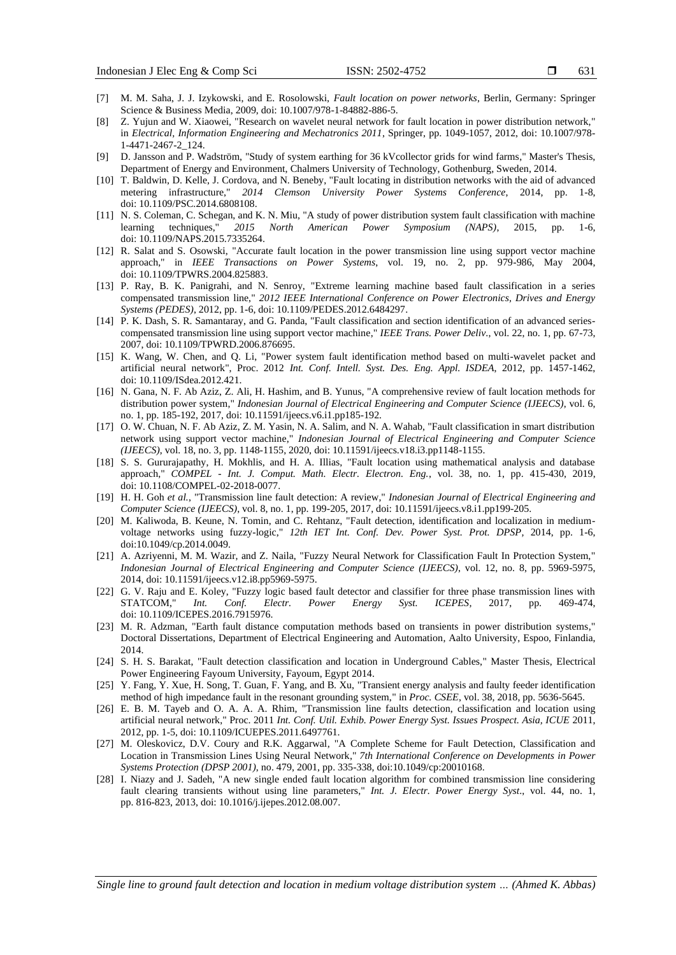- [7] M. M. Saha, J. J. Izykowski, and E. Rosolowski, *Fault location on power networks*, Berlin, Germany: Springer Science & Business Media, 2009, doi: 10.1007/978-1-84882-886-5.
- [8] Z. Yujun and W. Xiaowei, "Research on wavelet neural network for fault location in power distribution network," in *Electrical, Information Engineering and Mechatronics 2011*, Springer, pp. 1049-1057, 2012, doi: 10.1007/978- 1-4471-2467-2\_124.
- [9] D. Jansson and P. Wadström, "Study of system earthing for 36 kVcollector grids for wind farms," Master's Thesis, Department of Energy and Environment, Chalmers University of Technology, Gothenburg, Sweden, 2014.
- [10] T. Baldwin, D. Kelle, J. Cordova, and N. Beneby, "Fault locating in distribution networks with the aid of advanced metering infrastructure," *2014 Clemson University Power Systems Conference*, 2014, pp. 1-8, doi: 10.1109/PSC.2014.6808108.
- [11] N. S. Coleman, C. Schegan, and K. N. Miu, "A study of power distribution system fault classification with machine learning techniques," *2015 North American Power Symposium (NAPS)*, 2015, pp. 1-6, doi: 10.1109/NAPS.2015.7335264.
- [12] R. Salat and S. Osowski, "Accurate fault location in the power transmission line using support vector machine approach," in *IEEE Transactions on Power Systems*, vol. 19, no. 2, pp. 979-986, May 2004, doi: 10.1109/TPWRS.2004.825883.
- [13] P. Ray, B. K. Panigrahi, and N. Senroy, "Extreme learning machine based fault classification in a series compensated transmission line," *2012 IEEE International Conference on Power Electronics, Drives and Energy Systems (PEDES)*, 2012, pp. 1-6, doi: 10.1109/PEDES.2012.6484297.
- [14] P. K. Dash, S. R. Samantaray, and G. Panda, "Fault classification and section identification of an advanced seriescompensated transmission line using support vector machine," *IEEE Trans. Power Deliv*., vol. 22, no. 1, pp. 67-73, 2007, doi: 10.1109/TPWRD.2006.876695.
- [15] K. Wang, W. Chen, and Q. Li, "Power system fault identification method based on multi-wavelet packet and artificial neural network", Proc. 2012 *Int. Conf. Intell. Syst. Des. Eng. Appl. ISDEA*, 2012, pp. 1457-1462, doi: 10.1109/ISdea.2012.421.
- [16] N. Gana, N. F. Ab Aziz, Z. Ali, H. Hashim, and B. Yunus, "A comprehensive review of fault location methods for distribution power system," *Indonesian Journal of Electrical Engineering and Computer Science (IJEECS)*, vol. 6, no. 1, pp. 185-192, 2017, doi: 10.11591/ijeecs.v6.i1.pp185-192.
- [17] O. W. Chuan, N. F. Ab Aziz, Z. M. Yasin, N. A. Salim, and N. A. Wahab, "Fault classification in smart distribution network using support vector machine," *Indonesian Journal of Electrical Engineering and Computer Science (IJEECS)*, vol. 18, no. 3, pp. 1148-1155, 2020, doi: 10.11591/ijeecs.v18.i3.pp1148-1155.
- [18] S. S. Gururajapathy, H. Mokhlis, and H. A. Illias, "Fault location using mathematical analysis and database approach," *COMPEL* - *Int. J. Comput. Math. Electr. Electron. Eng.*, vol. 38, no. 1, pp. 415-430, 2019, doi: 10.1108/COMPEL-02-2018-0077.
- [19] H. H. Goh *et al.*, "Transmission line fault detection: A review," *Indonesian Journal of Electrical Engineering and Computer Science (IJEECS)*, vol. 8, no. 1, pp. 199-205, 2017, doi: 10.11591/ijeecs.v8.i1.pp199-205.
- [20] M. Kaliwoda, B. Keune, N. Tomin, and C. Rehtanz, "Fault detection, identification and localization in mediumvoltage networks using fuzzy-logic," *12th IET Int. Conf. Dev. Power Syst. Prot. DPSP,* 2014, pp. 1-6, doi:10.1049/cp.2014.0049.
- [21] A. Azriyenni, M. M. Wazir, and Z. Naila, "Fuzzy Neural Network for Classification Fault In Protection System," *Indonesian Journal of Electrical Engineering and Computer Science (IJEECS)*, vol. 12, no. 8, pp. 5969-5975, 2014, doi: 10.11591/ijeecs.v12.i8.pp5969-5975.
- [22] G. V. Raju and E. Koley, "Fuzzy logic based fault detector and classifier for three phase transmission lines with STATCOM," *Int. Conf. Electr. Power Energy Syst. ICEPES,* 2017, pp. 469-474, doi: 10.1109/ICEPES.2016.7915976.
- [23] M. R. Adzman, "Earth fault distance computation methods based on transients in power distribution systems," Doctoral Dissertations, Department of Electrical Engineering and Automation, Aalto University, Espoo, Finlandia, 2014.
- [24] S. H. S. Barakat, "Fault detection classification and location in Underground Cables," Master Thesis, Electrical Power Engineering Fayoum University, Fayoum, Egypt 2014.
- [25] Y. Fang, Y. Xue, H. Song, T. Guan, F. Yang, and B. Xu, "Transient energy analysis and faulty feeder identification method of high impedance fault in the resonant grounding system," in *Proc. CSEE*, vol. 38, 2018, pp. 5636-5645.
- [26] E. B. M. Tayeb and O. A. A. A. Rhim, "Transmission line faults detection, classification and location using artificial neural network," Proc. 2011 *Int. Conf. Util. Exhib. Power Energy Syst. Issues Prospect. Asia, ICUE* 2011, 2012, pp. 1-5, doi: 10.1109/ICUEPES.2011.6497761.
- [27] M. Oleskovicz, D.V. Coury and R.K. Aggarwal, "A Complete Scheme for Fault Detection, Classification and Location in Transmission Lines Using Neural Network," *7th International Conference on Developments in Power Systems Protection (DPSP 2001)*, no. 479, 2001, pp. 335-338, doi:10.1049/cp:20010168.
- [28] I. Niazy and J. Sadeh, "A new single ended fault location algorithm for combined transmission line considering fault clearing transients without using line parameters," *Int. J. Electr. Power Energy Syst*., vol. 44, no. 1, pp. 816-823, 2013, doi: 10.1016/j.ijepes.2012.08.007.